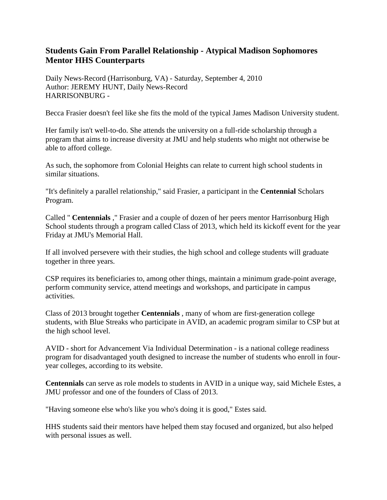## **Students Gain From Parallel Relationship - Atypical Madison Sophomores Mentor HHS Counterparts**

Daily News-Record (Harrisonburg, VA) - Saturday, September 4, 2010 Author: JEREMY HUNT, Daily News-Record HARRISONBURG -

Becca Frasier doesn't feel like she fits the mold of the typical James Madison University student.

Her family isn't well-to-do. She attends the university on a full-ride scholarship through a program that aims to increase diversity at JMU and help students who might not otherwise be able to afford college.

As such, the sophomore from Colonial Heights can relate to current high school students in similar situations.

"It's definitely a parallel relationship," said Frasier, a participant in the **Centennial** Scholars Program.

Called " **Centennials** ," Frasier and a couple of dozen of her peers mentor Harrisonburg High School students through a program called Class of 2013, which held its kickoff event for the year Friday at JMU's Memorial Hall.

If all involved persevere with their studies, the high school and college students will graduate together in three years.

CSP requires its beneficiaries to, among other things, maintain a minimum grade-point average, perform community service, attend meetings and workshops, and participate in campus activities.

Class of 2013 brought together **Centennials** , many of whom are first-generation college students, with Blue Streaks who participate in AVID, an academic program similar to CSP but at the high school level.

AVID - short for Advancement Via Individual Determination - is a national college readiness program for disadvantaged youth designed to increase the number of students who enroll in fouryear colleges, according to its website.

**Centennials** can serve as role models to students in AVID in a unique way, said Michele Estes, a JMU professor and one of the founders of Class of 2013.

"Having someone else who's like you who's doing it is good," Estes said.

HHS students said their mentors have helped them stay focused and organized, but also helped with personal issues as well.